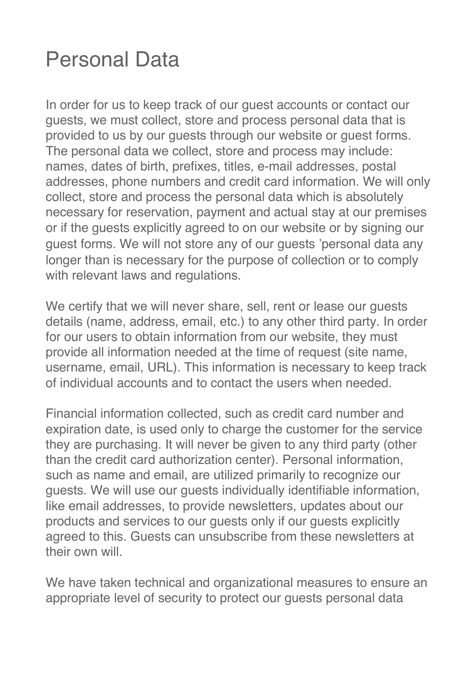#### Personal Data

In order for us to keep track of our guest accounts or contact our guests, we must collect, store and process personal data that is provided to us by our guests through our website or guest forms. The personal data we collect, store and process may include: names, dates of birth, prefixes, titles, e-mail addresses, postal addresses, phone numbers and credit card information. We will only collect, store and process the personal data which is absolutely necessary for reservation, payment and actual stay at our premises or if the guests explicitly agreed to on our website or by signing our guest forms. We will not store any of our guests "personal data any longer than is necessary for the purpose of collection or to comply with relevant laws and regulations.

We certify that we will never share, sell, rent or lease our guests details (name, address, email, etc.) to any other third party. In order for our users to obtain information from our website, they must provide all information needed at the time of request (site name, username, email, URL). This information is necessary to keep track of individual accounts and to contact the users when needed.

Financial information collected, such as credit card number and expiration date, is used only to charge the customer for the service they are purchasing. It will never be given to any third party (other than the credit card authorization center). Personal information, such as name and email, are utilized primarily to recognize our guests. We will use our guests individually identifiable information, like email addresses, to provide newsletters, updates about our products and services to our guests only if our guests explicitly agreed to this. Guests can unsubscribe from these newsletters at their own will

We have taken technical and organizational measures to ensure an appropriate level of security to protect our guests personal data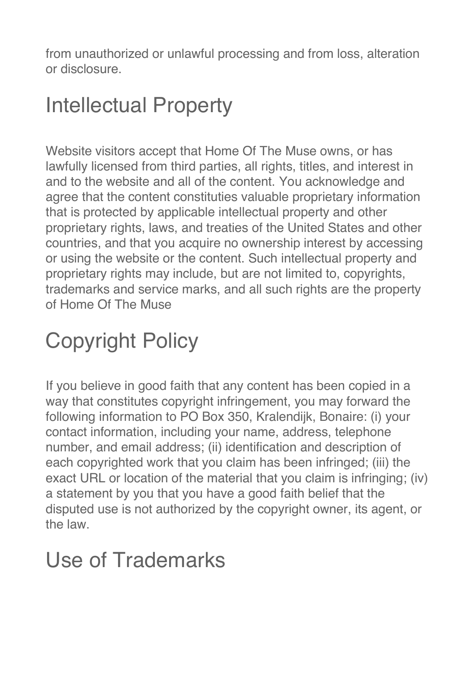from unauthorized or unlawful processing and from loss, alteration or disclosure.

### Intellectual Property

Website visitors accept that Home Of The Muse owns, or has lawfully licensed from third parties, all rights, titles, and interest in and to the website and all of the content. You acknowledge and agree that the content constituties valuable proprietary information that is protected by applicable intellectual property and other proprietary rights, laws, and treaties of the United States and other countries, and that you acquire no ownership interest by accessing or using the website or the content. Such intellectual property and proprietary rights may include, but are not limited to, copyrights, trademarks and service marks, and all such rights are the property of Home Of The Muse

# Copyright Policy

If you believe in good faith that any content has been copied in a way that constitutes copyright infringement, you may forward the following information to PO Box 350, Kralendijk, Bonaire: (i) your contact information, including your name, address, telephone number, and email address; (ii) identification and description of each copyrighted work that you claim has been infringed; (iii) the exact URL or location of the material that you claim is infringing; (iv) a statement by you that you have a good faith belief that the disputed use is not authorized by the copyright owner, its agent, or the law.

#### Use of Trademarks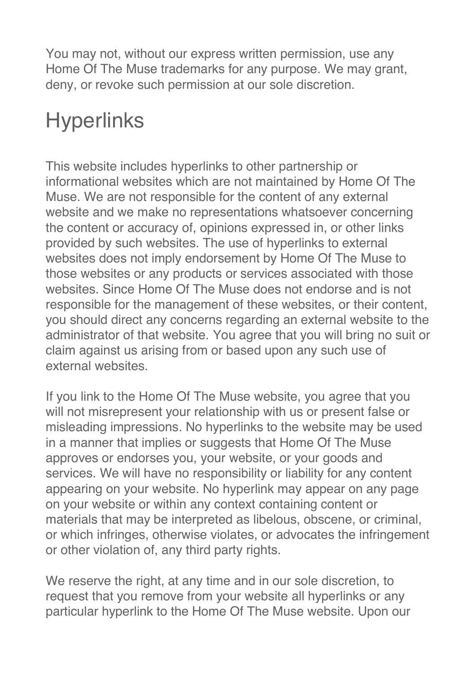You may not, without our express written permission, use any Home Of The Muse trademarks for any purpose. We may grant, deny, or revoke such permission at our sole discretion.

# **Hyperlinks**

This website includes hyperlinks to other partnership or informational websites which are not maintained by Home Of The Muse. We are not responsible for the content of any external website and we make no representations whatsoever concerning the content or accuracy of, opinions expressed in, or other links provided by such websites. The use of hyperlinks to external websites does not imply endorsement by Home Of The Muse to those websites or any products or services associated with those websites. Since Home Of The Muse does not endorse and is not responsible for the management of these websites, or their content, you should direct any concerns regarding an external website to the administrator of that website. You agree that you will bring no suit or claim against us arising from or based upon any such use of external websites.

If you link to the Home Of The Muse website, you agree that you will not misrepresent your relationship with us or present false or misleading impressions. No hyperlinks to the website may be used in a manner that implies or suggests that Home Of The Muse approves or endorses you, your website, or your goods and services. We will have no responsibility or liability for any content appearing on your website. No hyperlink may appear on any page on your website or within any context containing content or materials that may be interpreted as libelous, obscene, or criminal, or which infringes, otherwise violates, or advocates the infringement or other violation of, any third party rights.

We reserve the right, at any time and in our sole discretion, to request that you remove from your website all hyperlinks or any particular hyperlink to the Home Of The Muse website. Upon our